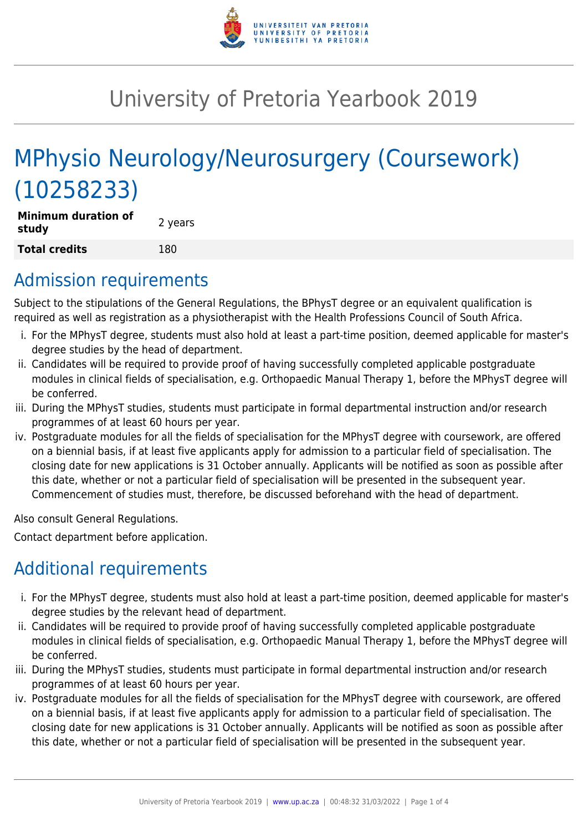

## University of Pretoria Yearbook 2019

# MPhysio Neurology/Neurosurgery (Coursework) (10258233)

| <b>Minimum duration of</b><br>study | 2 years |
|-------------------------------------|---------|
| <b>Total credits</b>                | 180     |

## Admission requirements

Subject to the stipulations of the General Regulations, the BPhysT degree or an equivalent qualification is required as well as registration as a physiotherapist with the Health Professions Council of South Africa.

- i. For the MPhysT degree, students must also hold at least a part-time position, deemed applicable for master's degree studies by the head of department.
- ii. Candidates will be required to provide proof of having successfully completed applicable postgraduate modules in clinical fields of specialisation, e.g. Orthopaedic Manual Therapy 1, before the MPhysT degree will be conferred.
- iii. During the MPhysT studies, students must participate in formal departmental instruction and/or research programmes of at least 60 hours per year.
- iv. Postgraduate modules for all the fields of specialisation for the MPhysT degree with coursework, are offered on a biennial basis, if at least five applicants apply for admission to a particular field of specialisation. The closing date for new applications is 31 October annually. Applicants will be notified as soon as possible after this date, whether or not a particular field of specialisation will be presented in the subsequent year. Commencement of studies must, therefore, be discussed beforehand with the head of department.

Also consult General Regulations.

Contact department before application.

### Additional requirements

- i. For the MPhysT degree, students must also hold at least a part-time position, deemed applicable for master's degree studies by the relevant head of department.
- ii. Candidates will be required to provide proof of having successfully completed applicable postgraduate modules in clinical fields of specialisation, e.g. Orthopaedic Manual Therapy 1, before the MPhysT degree will be conferred.
- iii. During the MPhysT studies, students must participate in formal departmental instruction and/or research programmes of at least 60 hours per year.
- iv. Postgraduate modules for all the fields of specialisation for the MPhysT degree with coursework, are offered on a biennial basis, if at least five applicants apply for admission to a particular field of specialisation. The closing date for new applications is 31 October annually. Applicants will be notified as soon as possible after this date, whether or not a particular field of specialisation will be presented in the subsequent year.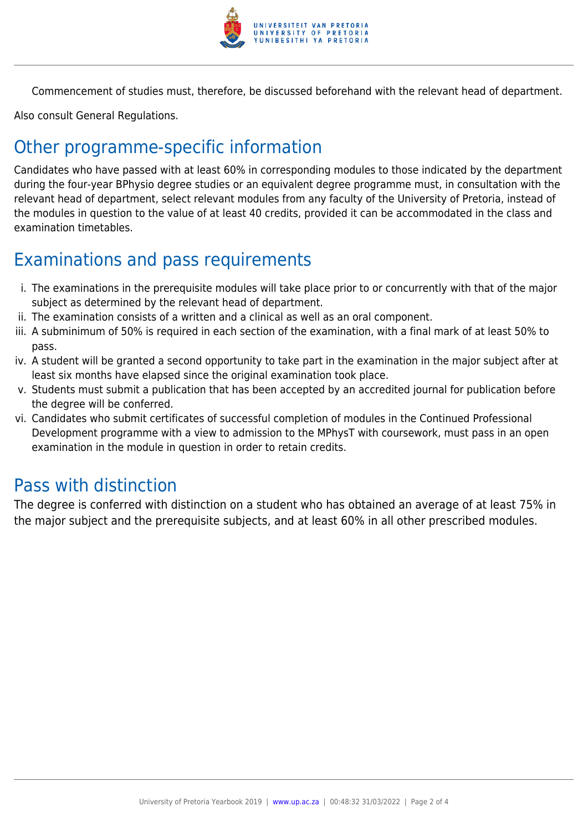

Commencement of studies must, therefore, be discussed beforehand with the relevant head of department.

Also consult General Regulations.

### Other programme-specific information

Candidates who have passed with at least 60% in corresponding modules to those indicated by the department during the four-year BPhysio degree studies or an equivalent degree programme must, in consultation with the relevant head of department, select relevant modules from any faculty of the University of Pretoria, instead of the modules in question to the value of at least 40 credits, provided it can be accommodated in the class and examination timetables.

### Examinations and pass requirements

- i. The examinations in the prerequisite modules will take place prior to or concurrently with that of the major subject as determined by the relevant head of department.
- ii. The examination consists of a written and a clinical as well as an oral component.
- iii. A subminimum of 50% is required in each section of the examination, with a final mark of at least 50% to pass.
- iv. A student will be granted a second opportunity to take part in the examination in the major subject after at least six months have elapsed since the original examination took place.
- v. Students must submit a publication that has been accepted by an accredited journal for publication before the degree will be conferred.
- vi. Candidates who submit certificates of successful completion of modules in the Continued Professional Development programme with a view to admission to the MPhysT with coursework, must pass in an open examination in the module in question in order to retain credits.

#### Pass with distinction

The degree is conferred with distinction on a student who has obtained an average of at least 75% in the major subject and the prerequisite subjects, and at least 60% in all other prescribed modules.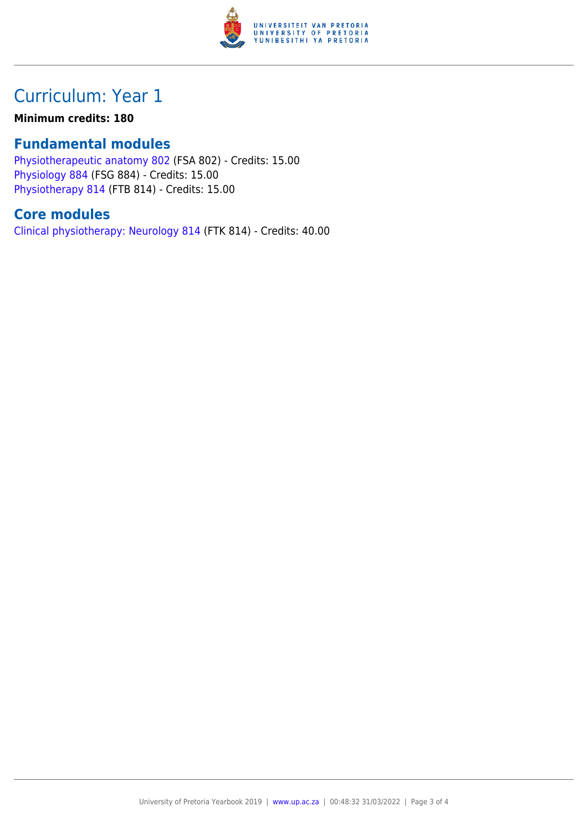

### Curriculum: Year 1

#### **Minimum credits: 180**

#### **Fundamental modules**

[Physiotherapeutic anatomy 802](https://www.up.ac.za/yearbooks/2019/modules/view/FSA 802) (FSA 802) - Credits: 15.00 [Physiology 884](https://www.up.ac.za/yearbooks/2019/modules/view/FSG 884) (FSG 884) - Credits: 15.00 [Physiotherapy 814](https://www.up.ac.za/yearbooks/2019/modules/view/FTB 814) (FTB 814) - Credits: 15.00

#### **Core modules**

[Clinical physiotherapy: Neurology 814](https://www.up.ac.za/yearbooks/2019/modules/view/FTK 814) (FTK 814) - Credits: 40.00